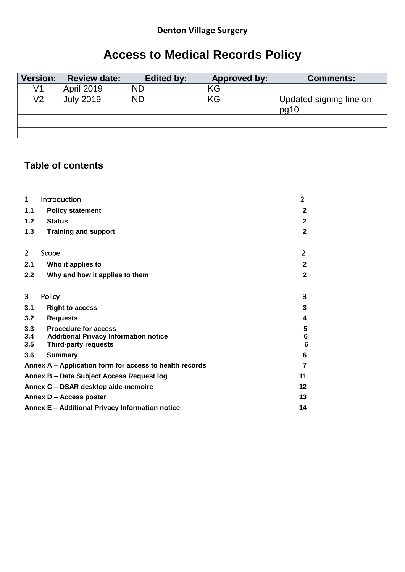# **Denton Village Surgery**

# **Access to Medical Records Policy**

| Version: | <b>Review date:</b> | Edited by: | Approved by: | <b>Comments:</b>                |
|----------|---------------------|------------|--------------|---------------------------------|
| V1       | <b>April 2019</b>   | <b>ND</b>  | KG           |                                 |
| V2       | <b>July 2019</b>    | <b>ND</b>  | KG           | Updated signing line on<br>pg10 |
|          |                     |            |              |                                 |
|          |                     |            |              |                                 |

# **Table of contents**

| $\mathbf{1}$   | Introduction                                                                | $\overline{2}$       |
|----------------|-----------------------------------------------------------------------------|----------------------|
| 1.1            | <b>Policy statement</b>                                                     | $\mathbf{2}$         |
| 1.2            | <b>Status</b>                                                               | $\mathbf{2}$         |
| 1.3            | <b>Training and support</b>                                                 | $\mathbf{2}$         |
| $\overline{2}$ | Scope                                                                       | $\overline{2}$       |
| 2.1            | Who it applies to                                                           | $\mathbf{2}$         |
| 2.2            | Why and how it applies to them                                              | $\overline{2}$       |
| 3              | Policy                                                                      | 3                    |
| 3.1            | <b>Right to access</b>                                                      | 3                    |
| 3.2            | <b>Requests</b>                                                             | 4                    |
| 3.3            | <b>Procedure for access</b>                                                 | 5                    |
| 3.4<br>3.5     | <b>Additional Privacy Information notice</b><br><b>Third-party requests</b> | $6\phantom{1}6$<br>6 |
| 3.6            | <b>Summary</b>                                                              | 6                    |
|                | Annex A – Application form for access to health records                     | 7                    |
|                | Annex B - Data Subject Access Request log                                   | 11                   |
|                | Annex C - DSAR desktop aide-memoire                                         | 12                   |
|                | Annex D - Access poster                                                     | 13                   |
|                | Annex E - Additional Privacy Information notice                             | 14                   |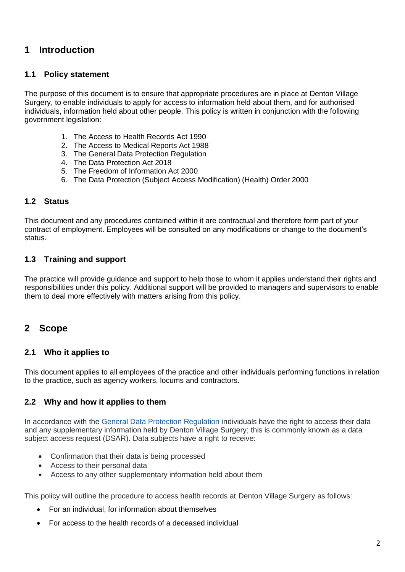# <span id="page-1-0"></span>**1 Introduction**

#### <span id="page-1-1"></span>**1.1 Policy statement**

The purpose of this document is to ensure that appropriate procedures are in place at Denton Village Surgery, to enable individuals to apply for access to information held about them, and for authorised individuals, information held about other people. This policy is written in conjunction with the following government legislation:

- 1. The Access to Health Records Act 1990
- 2. The Access to Medical Reports Act 1988
- 3. The General Data Protection Regulation
- 4. The Data Protection Act 2018
- 5. The Freedom of Information Act 2000
- 6. The Data Protection (Subject Access Modification) (Health) Order 2000

#### <span id="page-1-2"></span>**1.2 Status**

This document and any procedures contained within it are contractual and therefore form part of your contract of employment. Employees will be consulted on any modifications or change to the document's status.

#### <span id="page-1-3"></span>**1.3 Training and support**

The practice will provide guidance and support to help those to whom it applies understand their rights and responsibilities under this policy. Additional support will be provided to managers and supervisors to enable them to deal more effectively with matters arising from this policy.

## <span id="page-1-4"></span>**2 Scope**

#### <span id="page-1-5"></span>**2.1 Who it applies to**

This document applies to all employees of the practice and other individuals performing functions in relation to the practice, such as agency workers, locums and contractors.

#### <span id="page-1-6"></span>**2.2 Why and how it applies to them**

In accordance with the [General Data Protection Regulation](https://gdpr-info.eu/) individuals have the right to access their data and any supplementary information held by Denton Village Surgery; this is commonly known as a data subject access request (DSAR). Data subjects have a right to receive:

- Confirmation that their data is being processed
- Access to their personal data
- Access to any other supplementary information held about them

This policy will outline the procedure to access health records at Denton Village Surgery as follows:

- For an individual, for information about themselves
- For access to the health records of a deceased individual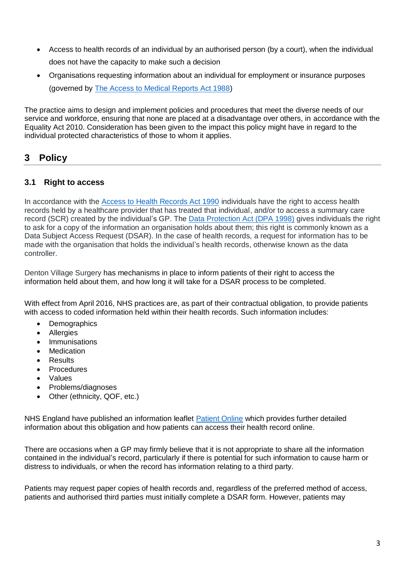- Access to health records of an individual by an authorised person (by a court), when the individual does not have the capacity to make such a decision
- Organisations requesting information about an individual for employment or insurance purposes (governed by [The Access to Medical Reports Act 1988\)](http://www.legislation.gov.uk/ukpga/1988/28/contents)

The practice aims to design and implement policies and procedures that meet the diverse needs of our service and workforce, ensuring that none are placed at a disadvantage over others, in accordance with the Equality Act 2010. Consideration has been given to the impact this policy might have in regard to the individual protected characteristics of those to whom it applies.

# <span id="page-2-0"></span>**3 Policy**

## <span id="page-2-1"></span>**3.1 Right to access**

In accordance with the [Access to Health Records Act 1990](http://www.legislation.gov.uk/ukpga/1990/23/section/3?view=plain) individuals have the right to access health records held by a healthcare provider that has treated that individual, and/or to access a summary care record (SCR) created by the individual's GP. The [Data Protection Act \(DPA 1998\)](http://www.legislation.gov.uk/ukpga/1998/29/contents) gives individuals the right to ask for a copy of the information an organisation holds about them; this right is commonly known as a Data Subject Access Request (DSAR). In the case of health records, a request for information has to be made with the organisation that holds the individual's health records, otherwise known as the data controller.

Denton Village Surgery has mechanisms in place to inform patients of their right to access the information held about them, and how long it will take for a DSAR process to be completed.

With effect from April 2016, NHS practices are, as part of their contractual obligation, to provide patients with access to coded information held within their health records. Such information includes:

- Demographics
- Allergies
- **Immunisations**
- **Medication**
- **Results**
- **Procedures**
- **Values**
- Problems/diagnoses
- Other (ethnicity, QOF, etc.)

NHS England have published an information leaflet [Patient Online](https://www.england.nhs.uk/wp-content/uploads/2015/11/po-offering-patient-access-detailed-online-records.pdf) which provides further detailed information about this obligation and how patients can access their health record online.

There are occasions when a GP may firmly believe that it is not appropriate to share all the information contained in the individual's record, particularly if there is potential for such information to cause harm or distress to individuals, or when the record has information relating to a third party.

Patients may request paper copies of health records and, regardless of the preferred method of access, patients and authorised third parties must initially complete a DSAR form. However, patients may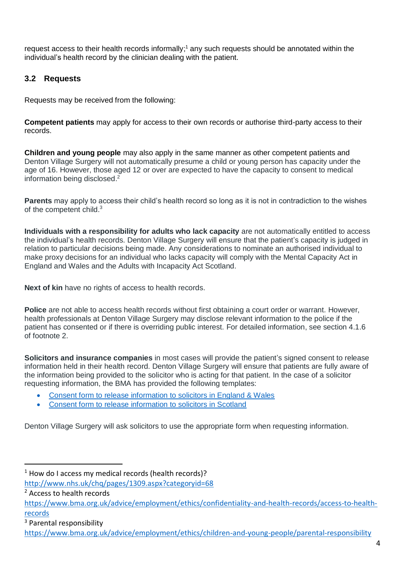request access to their health records informally;<sup>1</sup> any such requests should be annotated within the individual's health record by the clinician dealing with the patient.

## <span id="page-3-0"></span>**3.2 Requests**

Requests may be received from the following:

**Competent patients** may apply for access to their own records or authorise third-party access to their records.

**Children and young people** may also apply in the same manner as other competent patients and Denton Village Surgery will not automatically presume a child or young person has capacity under the age of 16. However, those aged 12 or over are expected to have the capacity to consent to medical information being disclosed. 2

**Parents** may apply to access their child's health record so long as it is not in contradiction to the wishes of the competent child.<sup>3</sup>

**Individuals with a responsibility for adults who lack capacity** are not automatically entitled to access the individual's health records. Denton Village Surgery will ensure that the patient's capacity is judged in relation to particular decisions being made. Any considerations to nominate an authorised individual to make proxy decisions for an individual who lacks capacity will comply with the Mental Capacity Act in England and Wales and the Adults with Incapacity Act Scotland.

**Next of kin** have no rights of access to health records.

**Police** are not able to access health records without first obtaining a court order or warrant. However, health professionals at Denton Village Surgery may disclose relevant information to the police if the patient has consented or if there is overriding public interest. For detailed information, see section 4.1.6 of footnote 2.

**Solicitors and insurance companies** in most cases will provide the patient's signed consent to release information held in their health record. Denton Village Surgery will ensure that patients are fully aware of the information being provided to the solicitor who is acting for that patient. In the case of a solicitor requesting information, the BMA has provided the following templates:

- [Consent form to release information to solicitors in England & Wales](https://www.bma.org.uk/-/media/files/pdfs/employment%20advice/ethics/bmalawsocietyconsentformmarch2017.pdf?la=en)
- [Consent form to release information to solicitors in Scotland](https://www.bma.org.uk/-/media/files/pdfs/employment%20advice/ethics/bmalawconsentformscotlandmarch2017.pdf?la=en)

Denton Village Surgery will ask solicitors to use the appropriate form when requesting information.

 $\overline{a}$ 

 $1$  How do I access my medical records (health records)?

<http://www.nhs.uk/chq/pages/1309.aspx?categoryid=68>

<sup>2</sup> Access to health records

[https://www.bma.org.uk/advice/employment/ethics/confidentiality-and-health-records/access-to-health](https://www.bma.org.uk/advice/employment/ethics/confidentiality-and-health-records/access-to-health-records)[records](https://www.bma.org.uk/advice/employment/ethics/confidentiality-and-health-records/access-to-health-records)

<sup>3</sup> Parental responsibility

<https://www.bma.org.uk/advice/employment/ethics/children-and-young-people/parental-responsibility>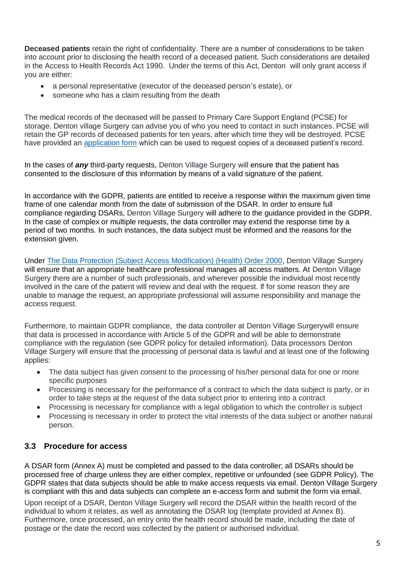**Deceased patients** retain the right of confidentiality. There are a number of considerations to be taken into account prior to disclosing the health record of a deceased patient. Such considerations are detailed in the Access to Health Records Act 1990. Under the terms of this Act, Denton will only grant access if you are either:

- a personal representative (executor of the deceased person's estate), or
- someone who has a claim resulting from the death

The medical records of the deceased will be passed to Primary Care Support England (PCSE) for storage. Denton village Surgery can advise you of who you need to contact in such instances. PCSE will retain the GP records of deceased patients for ten years, after which time they will be destroyed. PCSE have provided an [application form](https://pcse.england.nhs.uk/media/1064/pcse_access_to_records_application_form_august_2016-1.doc) which can be used to request copies of a deceased patient's record.

In the cases of *any* third-party requests, Denton Village Surgery will ensure that the patient has consented to the disclosure of this information by means of a valid signature of the patient.

In accordance with the GDPR, patients are entitled to receive a response within the maximum given time frame of one calendar month from the date of submission of the DSAR. In order to ensure full compliance regarding DSARs, Denton Village Surgery will adhere to the guidance provided in the GDPR. In the case of complex or multiple requests, the data controller may extend the response time by a period of two months. In such instances, the data subject must be informed and the reasons for the extension given.

Under [The Data Protection \(Subject Access Modification\) \(Health\) Order 2000,](http://www.legislation.gov.uk/uksi/2000/413/made) Denton Village Surgery will ensure that an appropriate healthcare professional manages all access matters. At Denton Village Surgery there are a number of such professionals, and wherever possible the individual most recently involved in the care of the patient will review and deal with the request. If for some reason they are unable to manage the request, an appropriate professional will assume responsibility and manage the access request.

Furthermore, to maintain GDPR compliance, the data controller at Denton Village Surgerywill ensure that data is processed in accordance with Article 5 of the GDPR and will be able to demonstrate compliance with the regulation (see GDPR policy for detailed information). Data processors Denton Village Surgery will ensure that the processing of personal data is lawful and at least one of the following applies:

- The data subject has given consent to the processing of his/her personal data for one or more specific purposes
- Processing is necessary for the performance of a contract to which the data subject is party, or in order to take steps at the request of the data subject prior to entering into a contract
- Processing is necessary for compliance with a legal obligation to which the controller is subject
- Processing is necessary in order to protect the vital interests of the data subject or another natural person.

## <span id="page-4-0"></span>**3.3 Procedure for access**

A DSAR form (Annex A) must be completed and passed to the data controller; all DSARs should be processed free of charge unless they are either complex, repetitive or unfounded (see GDPR Policy). The GDPR states that data subjects should be able to make access requests via email. Denton Village Surgery is compliant with this and data subjects can complete an e-access form and submit the form via email.

Upon receipt of a DSAR, Denton Village Surgery will record the DSAR within the health record of the individual to whom it relates, as well as annotating the DSAR log (template provided at Annex B). Furthermore, once processed, an entry onto the health record should be made, including the date of postage or the date the record was collected by the patient or authorised individual.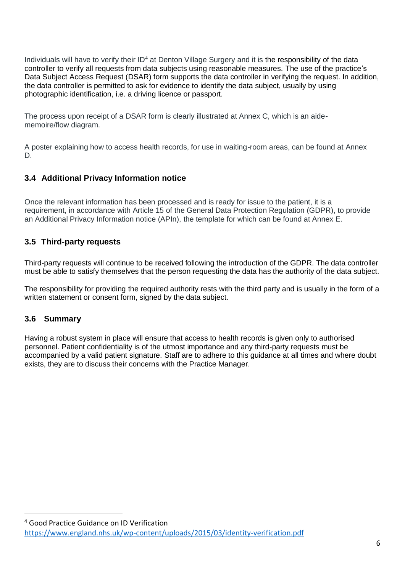Individuals will have to verify their ID<sup>4</sup> at Denton Village Surgery and it is the responsibility of the data controller to verify all requests from data subjects using reasonable measures. The use of the practice's Data Subject Access Request (DSAR) form supports the data controller in verifying the request. In addition, the data controller is permitted to ask for evidence to identify the data subject, usually by using photographic identification, i.e. a driving licence or passport.

The process upon receipt of a DSAR form is clearly illustrated at Annex C, which is an aidememoire/flow diagram.

A poster explaining how to access health records, for use in waiting-room areas, can be found at Annex D.

## **3.4 Additional Privacy Information notice**

Once the relevant information has been processed and is ready for issue to the patient, it is a requirement, in accordance with Article 15 of the General Data Protection Regulation (GDPR), to provide an Additional Privacy Information notice (APIn), the template for which can be found at Annex E.

#### **3.5 Third-party requests**

Third-party requests will continue to be received following the introduction of the GDPR. The data controller must be able to satisfy themselves that the person requesting the data has the authority of the data subject.

The responsibility for providing the required authority rests with the third party and is usually in the form of a written statement or consent form, signed by the data subject.

#### <span id="page-5-0"></span>**3.6 Summary**

 $\overline{a}$ 

Having a robust system in place will ensure that access to health records is given only to authorised personnel. Patient confidentiality is of the utmost importance and any third-party requests must be accompanied by a valid patient signature. Staff are to adhere to this guidance at all times and where doubt exists, they are to discuss their concerns with the Practice Manager.

<sup>4</sup> Good Practice Guidance on ID Verification <https://www.england.nhs.uk/wp-content/uploads/2015/03/identity-verification.pdf>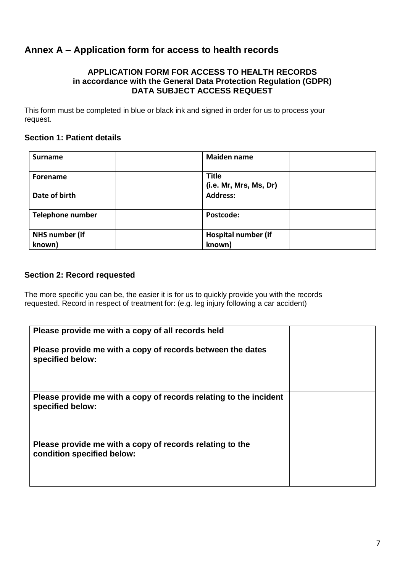# <span id="page-6-0"></span>**Annex A – Application form for access to health records**

#### **APPLICATION FORM FOR ACCESS TO HEALTH RECORDS in accordance with the General Data Protection Regulation (GDPR) DATA SUBJECT ACCESS REQUEST**

This form must be completed in blue or black ink and signed in order for us to process your request.

#### **Section 1: Patient details**

| <b>Surname</b>          | <b>Maiden name</b>                     |
|-------------------------|----------------------------------------|
| <b>Forename</b>         | <b>Title</b><br>(i.e. Mr, Mrs, Ms, Dr) |
| Date of birth           | <b>Address:</b>                        |
| <b>Telephone number</b> | Postcode:                              |
| <b>NHS number (if</b>   | Hospital number (if                    |
| known)                  | known)                                 |

#### **Section 2: Record requested**

The more specific you can be, the easier it is for us to quickly provide you with the records requested. Record in respect of treatment for: (e.g. leg injury following a car accident)

| Please provide me with a copy of all records held                                      |  |
|----------------------------------------------------------------------------------------|--|
| Please provide me with a copy of records between the dates<br>specified below:         |  |
| Please provide me with a copy of records relating to the incident<br>specified below:  |  |
| Please provide me with a copy of records relating to the<br>condition specified below: |  |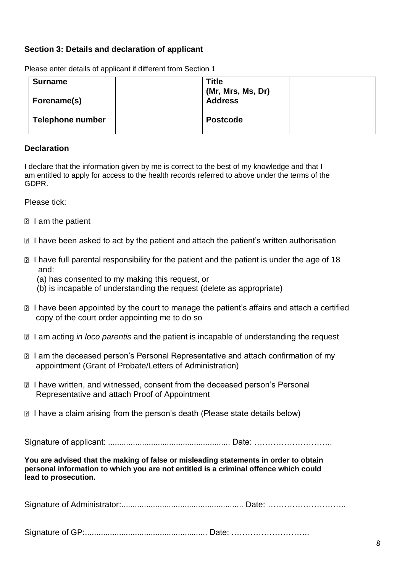## **Section 3: Details and declaration of applicant**

| <b>Surname</b>          | <b>Title</b>      |  |
|-------------------------|-------------------|--|
|                         | (Mr, Mrs, Ms, Dr) |  |
| Forename(s)             | <b>Address</b>    |  |
| <b>Telephone number</b> | <b>Postcode</b>   |  |

Please enter details of applicant if different from Section 1

#### **Declaration**

I declare that the information given by me is correct to the best of my knowledge and that I am entitled to apply for access to the health records referred to above under the terms of the GDPR.

Please tick:

- **I** lam the patient
- **I have been asked to act by the patient and attach the patient's written authorisation**
- **■** I have full parental responsibility for the patient and the patient is under the age of 18 and:
	- (a) has consented to my making this request, or
	- (b) is incapable of understanding the request (delete as appropriate)
- I have been appointed by the court to manage the patient's affairs and attach a certified copy of the court order appointing me to do so
- **I am acting** *in loco parentis* and the patient is incapable of understanding the request
- **I am the deceased person's Personal Representative and attach confirmation of my** appointment (Grant of Probate/Letters of Administration)
- **<b>**  I have written, and witnessed, consent from the deceased person's Personal Representative and attach Proof of Appointment
- I have a claim arising from the person's death (Please state details below)

Signature of applicant: ...................................................... Date: ………………………..

**You are advised that the making of false or misleading statements in order to obtain personal information to which you are not entitled is a criminal offence which could lead to prosecution.**

Signature of Administrator:...................................................... Date: ………………………..

Signature of GP:...................................................... Date: ………………………..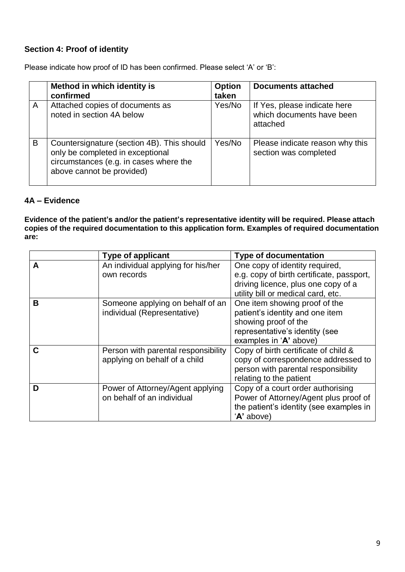# **Section 4: Proof of identity**

Please indicate how proof of ID has been confirmed. Please select 'A' or 'B':

|   | Method in which identity is<br>confirmed                                                                                                              | <b>Option</b><br>taken | <b>Documents attached</b>                                             |
|---|-------------------------------------------------------------------------------------------------------------------------------------------------------|------------------------|-----------------------------------------------------------------------|
| A | Attached copies of documents as<br>noted in section 4A below                                                                                          | Yes/No                 | If Yes, please indicate here<br>which documents have been<br>attached |
| B | Countersignature (section 4B). This should<br>only be completed in exceptional<br>circumstances (e.g. in cases where the<br>above cannot be provided) | Yes/No                 | Please indicate reason why this<br>section was completed              |

## **4A – Evidence**

**Evidence of the patient's and/or the patient's representative identity will be required. Please attach copies of the required documentation to this application form. Examples of required documentation are:**

|   | <b>Type of applicant</b>            | <b>Type of documentation</b>              |
|---|-------------------------------------|-------------------------------------------|
| A | An individual applying for his/her  | One copy of identity required,            |
|   | own records                         | e.g. copy of birth certificate, passport, |
|   |                                     | driving licence, plus one copy of a       |
|   |                                     | utility bill or medical card, etc.        |
| B | Someone applying on behalf of an    | One item showing proof of the             |
|   | individual (Representative)         | patient's identity and one item           |
|   |                                     | showing proof of the                      |
|   |                                     | representative's identity (see            |
|   |                                     | examples in 'A' above)                    |
| С | Person with parental responsibility | Copy of birth certificate of child &      |
|   | applying on behalf of a child       | copy of correspondence addressed to       |
|   |                                     | person with parental responsibility       |
|   |                                     | relating to the patient                   |
| D | Power of Attorney/Agent applying    | Copy of a court order authorising         |
|   | on behalf of an individual          | Power of Attorney/Agent plus proof of     |
|   |                                     | the patient's identity (see examples in   |
|   |                                     | 'A' above)                                |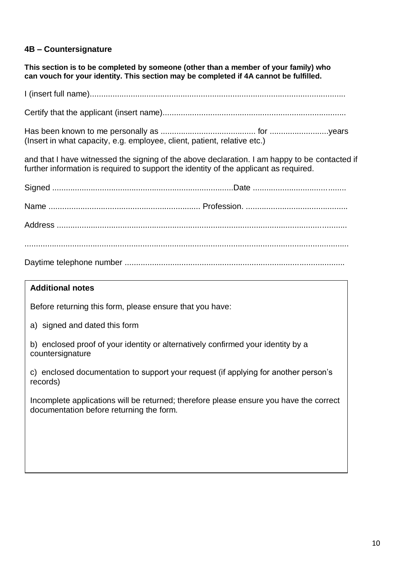## **4B – Countersignature**

**This section is to be completed by someone (other than a member of your family) who can vouch for your identity. This section may be completed if 4A cannot be fulfilled.**

I (insert full name).................................................................................................................

Certify that the applicant (insert name).................................................................................

Has been known to me personally as .......................................... for ..........................years (Insert in what capacity, e.g. employee, client, patient, relative etc.)

and that I have witnessed the signing of the above declaration. I am happy to be contacted if further information is required to support the identity of the applicant as required.

#### **Additional notes**

Before returning this form, please ensure that you have:

a) signed and dated this form

b) enclosed proof of your identity or alternatively confirmed your identity by a countersignature

c) enclosed documentation to support your request (if applying for another person's records)

Incomplete applications will be returned; therefore please ensure you have the correct documentation before returning the form.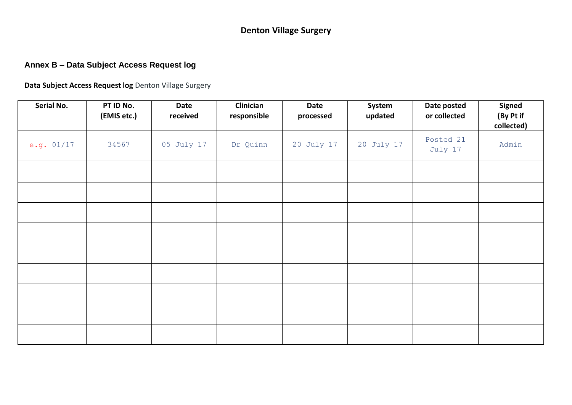# **Denton Village Surgery**

# **Annex B – Data Subject Access Request log**

**Data Subject Access Request log** Denton Village Surgery

<span id="page-10-0"></span>

| Serial No.   | PT ID No.<br>(EMIS etc.) | Date<br>received | Clinician<br>responsible | Date<br>processed | System<br>updated | Date posted<br>or collected | <b>Signed</b><br>(By Pt if<br>collected) |
|--------------|--------------------------|------------------|--------------------------|-------------------|-------------------|-----------------------------|------------------------------------------|
| e.g. $01/17$ | 34567                    | 05 July 17       | Dr Quinn                 | 20 July 17        | 20 July 17        | Posted 21<br>July 17        | Admin                                    |
|              |                          |                  |                          |                   |                   |                             |                                          |
|              |                          |                  |                          |                   |                   |                             |                                          |
|              |                          |                  |                          |                   |                   |                             |                                          |
|              |                          |                  |                          |                   |                   |                             |                                          |
|              |                          |                  |                          |                   |                   |                             |                                          |
|              |                          |                  |                          |                   |                   |                             |                                          |
|              |                          |                  |                          |                   |                   |                             |                                          |
|              |                          |                  |                          |                   |                   |                             |                                          |
|              |                          |                  |                          |                   |                   |                             |                                          |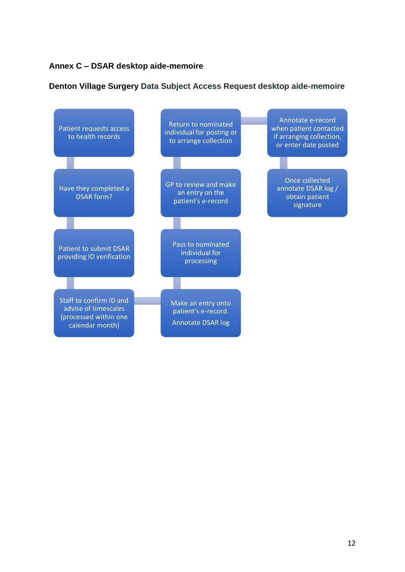## <span id="page-11-0"></span>**Annex C – DSAR desktop aide-memoire**

## **Denton Village Surgery Data Subject Access Request desktop aide-memoire**

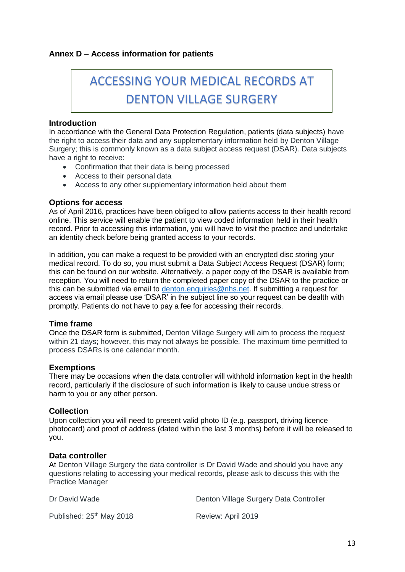## <span id="page-12-0"></span>**Annex D – Access information for patients**

# ACCESSING YOUR MEDICAL RECORDS AT DENTON VILLAGE SURGERY

#### **Introduction**

In accordance with the General Data Protection Regulation, patients (data subjects) have the right to access their data and any supplementary information held by Denton Village Surgery; this is commonly known as a data subject access request (DSAR). Data subjects have a right to receive:

- Confirmation that their data is being processed
- Access to their personal data
- Access to any other supplementary information held about them

#### **Options for access**

As of April 2016, practices have been obliged to allow patients access to their health record online. This service will enable the patient to view coded information held in their health record. Prior to accessing this information, you will have to visit the practice and undertake an identity check before being granted access to your records.

In addition, you can make a request to be provided with an encrypted disc storing your medical record. To do so, you must submit a Data Subject Access Request (DSAR) form; this can be found on our website. Alternatively, a paper copy of the DSAR is available from reception. You will need to return the completed paper copy of the DSAR to the practice or this can be submitted via email to [denton.enquiries@nhs.net.](mailto:denton.enquiries@nhs.net) If submitting a request for access via email please use 'DSAR' in the subject line so your request can be dealth with promptly. Patients do not have to pay a fee for accessing their records.

#### **Time frame**

Once the DSAR form is submitted, Denton Village Surgery will aim to process the request within 21 days; however, this may not always be possible. The maximum time permitted to process DSARs is one calendar month.

#### **Exemptions**

There may be occasions when the data controller will withhold information kept in the health record, particularly if the disclosure of such information is likely to cause undue stress or harm to you or any other person.

#### **Collection**

Upon collection you will need to present valid photo ID (e.g. passport, driving licence photocard) and proof of address (dated within the last 3 months) before it will be released to you.

#### **Data controller**

At Denton Village Surgery the data controller is Dr David Wade and should you have any questions relating to accessing your medical records, please ask to discuss this with the Practice Manager

| Dr David Wade                        | Denton Village Surgery Data Controller |
|--------------------------------------|----------------------------------------|
| Published: 25 <sup>th</sup> May 2018 | Review: April 2019                     |